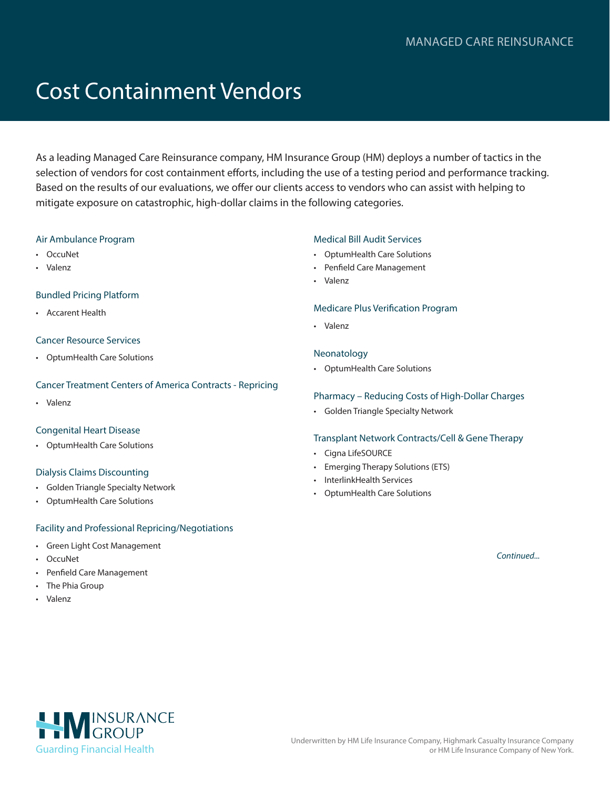# Cost Containment Vendors

As a leading Managed Care Reinsurance company, HM Insurance Group (HM) deploys a number of tactics in the selection of vendors for cost containment efforts, including the use of a testing period and performance tracking. Based on the results of our evaluations, we offer our clients access to vendors who can assist with helping to mitigate exposure on catastrophic, high-dollar claims in the following categories.

# Air Ambulance Program

- OccuNet
- Valenz

# Bundled Pricing Platform

• Accarent Health

# Cancer Resource Services

• OptumHealth Care Solutions

# Cancer Treatment Centers of America Contracts - Repricing

• Valenz

# Congenital Heart Disease

• OptumHealth Care Solutions

# Dialysis Claims Discounting

- Golden Triangle Specialty Network
- OptumHealth Care Solutions

# Facility and Professional Repricing/Negotiations

- Green Light Cost Management
- OccuNet
- Penfield Care Management
- The Phia Group
- Valenz

# Medical Bill Audit Services

- OptumHealth Care Solutions
- Penfield Care Management
- Valenz

#### Medicare Plus Verification Program

• Valenz

# Neonatology

• OptumHealth Care Solutions

# Pharmacy – Reducing Costs of High-Dollar Charges

• Golden Triangle Specialty Network

# Transplant Network Contracts/Cell & Gene Therapy

- Cigna LifeSOURCE
- Emerging Therapy Solutions (ETS)
- InterlinkHealth Services
- OptumHealth Care Solutions

*Continued...*

HIMINSURANCE [Guarding Financial Health](https://www.hmig.com/)